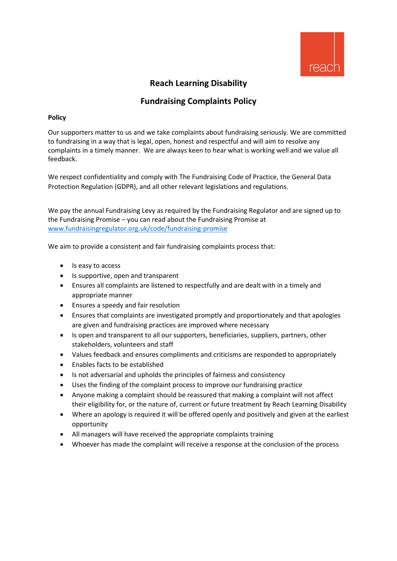

# **Reach Learning Disability**

# **Fundraising Complaints Policy**

# **Policy**

Our supporters matter to us and we take complaints about fundraising seriously. We are committed to fundraising in a way that is legal, open, honest and respectful and will aim to resolve any complaints in a timely manner. We are always keen to hear what is working well and we value all feedback.

We respect confidentiality and comply with The Fundraising Code of Practice, the General Data Protection Regulation (GDPR), and all other relevant legislations and regulations.

We pay the annual Fundraising Levy as required by the Fundraising Regulator and are signed up to the Fundraising Promise – you can read about the Fundraising Promise at [www.fundraisingregulator.org.uk/code/fundraising-promise](http://www.fundraisingregulator.org.uk/code/fundraising-promise)

We aim to provide a consistent and fair fundraising complaints process that:

- Is easy to access
- Is supportive, open and transparent
- Ensures all complaints are listened to respectfully and are dealt with in a timely and appropriate manner
- Ensures a speedy and fair resolution
- Ensures that complaints are investigated promptly and proportionately and that apologies are given and fundraising practices are improved where necessary
- Is open and transparent to all our supporters, beneficiaries, suppliers, partners, other stakeholders, volunteers and staff
- Values feedback and ensures compliments and criticisms are responded to appropriately
- Enables facts to be established
- Is not adversarial and upholds the principles of fairness and consistency
- Uses the finding of the complaint process to improve our fundraising practice
- Anyone making a complaint should be reassured that making a complaint will not affect their eligibility for, or the nature of, current or future treatment by Reach Learning Disability
- Where an apology is required it will be offered openly and positively and given at the earliest opportunity
- All managers will have received the appropriate complaints training
- Whoever has made the complaint will receive a response at the conclusion of the process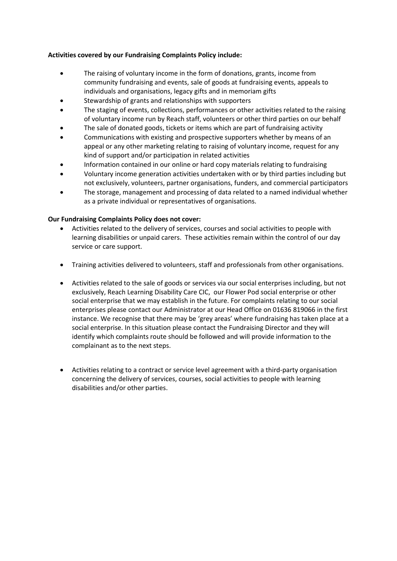# **Activities covered by our Fundraising Complaints Policy include:**

- The raising of voluntary income in the form of donations, grants, income from community fundraising and events, sale of goods at fundraising events, appeals to individuals and organisations, legacy gifts and in memoriam gifts
- Stewardship of grants and relationships with supporters
- The staging of events, collections, performances or other activities related to the raising of voluntary income run by Reach staff, volunteers or other third parties on our behalf
- The sale of donated goods, tickets or items which are part of fundraising activity
- Communications with existing and prospective supporters whether by means of an appeal or any other marketing relating to raising of voluntary income, request for any kind of support and/or participation in related activities
- Information contained in our online or hard copy materials relating to fundraising
- Voluntary income generation activities undertaken with or by third parties including but not exclusively, volunteers, partner organisations, funders, and commercial participators
- The storage, management and processing of data related to a named individual whether as a private individual or representatives of organisations.

## **Our Fundraising Complaints Policy does not cover:**

- Activities related to the delivery of services, courses and social activities to people with learning disabilities or unpaid carers. These activities remain within the control of our day service or care support.
- Training activities delivered to volunteers, staff and professionals from other organisations.
- Activities related to the sale of goods or services via our social enterprises including, but not exclusively, Reach Learning Disability Care CIC, our Flower Pod social enterprise or other social enterprise that we may establish in the future. For complaints relating to our social enterprises please contact our Administrator at our Head Office on 01636 819066 in the first instance. We recognise that there may be 'grey areas' where fundraising has taken place at a social enterprise. In this situation please contact the Fundraising Director and they will identify which complaints route should be followed and will provide information to the complainant as to the next steps.
- Activities relating to a contract or service level agreement with a third-party organisation concerning the delivery of services, courses, social activities to people with learning disabilities and/or other parties.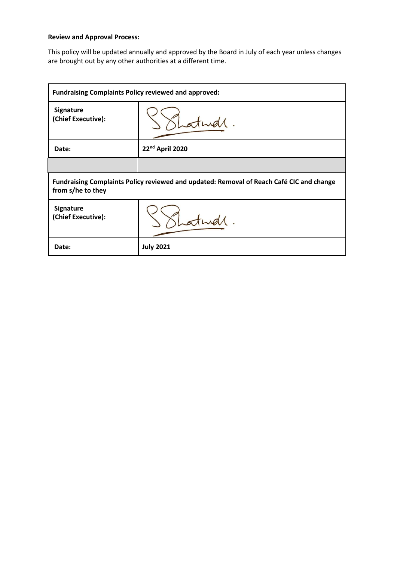# **Review and Approval Process:**

This policy will be updated annually and approved by the Board in July of each year unless changes are brought out by any other authorities at a different time.

| <b>Fundraising Complaints Policy reviewed and approved:</b>                                                   |                  |
|---------------------------------------------------------------------------------------------------------------|------------------|
| <b>Signature</b><br>(Chief Executive):                                                                        |                  |
| Date:                                                                                                         | 22nd April 2020  |
|                                                                                                               |                  |
| Fundraising Complaints Policy reviewed and updated: Removal of Reach Café CIC and change<br>from s/he to they |                  |
| <b>Signature</b><br>(Chief Executive):                                                                        |                  |
| Date:                                                                                                         | <b>July 2021</b> |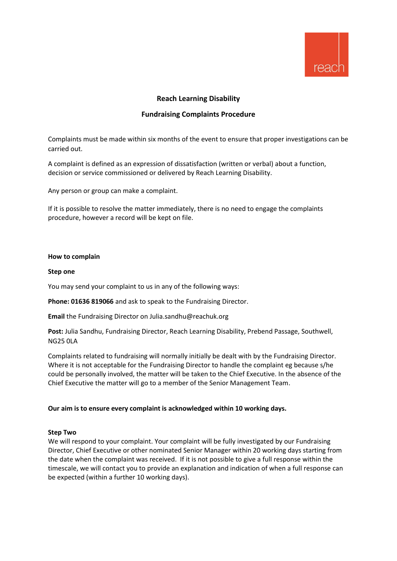

# **Reach Learning Disability**

## **Fundraising Complaints Procedure**

Complaints must be made within six months of the event to ensure that proper investigations can be carried out.

A complaint is defined as an expression of dissatisfaction (written or verbal) about a function, decision or service commissioned or delivered by Reach Learning Disability.

Any person or group can make a complaint.

If it is possible to resolve the matter immediately, there is no need to engage the complaints procedure, however a record will be kept on file.

#### **How to complain**

#### **Step one**

You may send your complaint to us in any of the following ways:

**Phone: 01636 819066** and ask to speak to the Fundraising Director.

**Email** the Fundraising Director on Julia.sandhu@reachuk.org

**Post:** Julia Sandhu, Fundraising Director, Reach Learning Disability, Prebend Passage, Southwell, NG25 0LA

Complaints related to fundraising will normally initially be dealt with by the Fundraising Director. Where it is not acceptable for the Fundraising Director to handle the complaint eg because s/he could be personally involved, the matter will be taken to the Chief Executive. In the absence of the Chief Executive the matter will go to a member of the Senior Management Team.

#### **Our aim is to ensure every complaint is acknowledged within 10 working days.**

#### **Step Two**

We will respond to your complaint. Your complaint will be fully investigated by our Fundraising Director, Chief Executive or other nominated Senior Manager within 20 working days starting from the date when the complaint was received. If it is not possible to give a full response within the timescale, we will contact you to provide an explanation and indication of when a full response can be expected (within a further 10 working days).